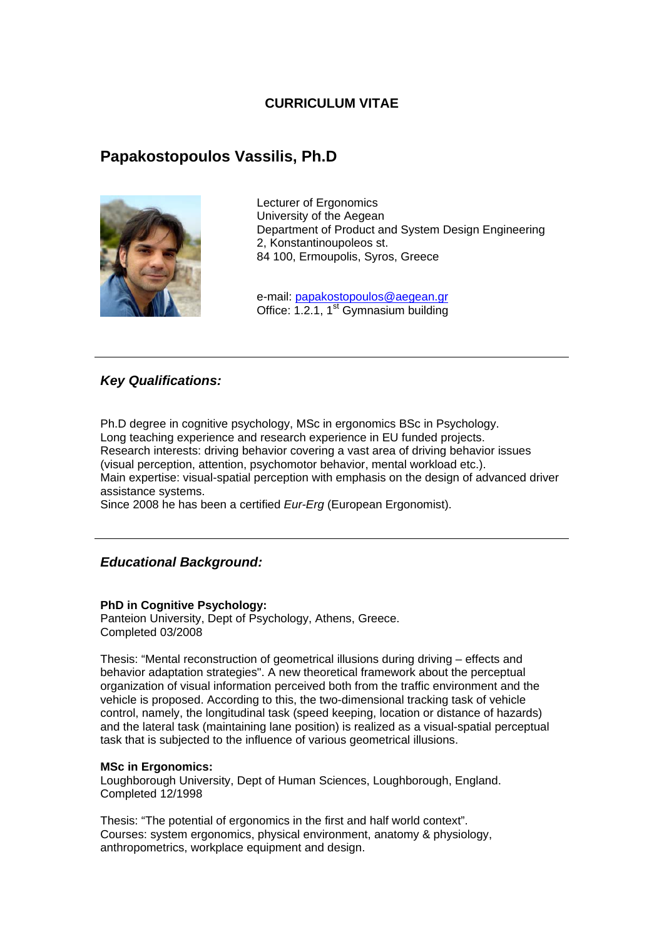## **CURRICULUM VITAE**

# **Papakostopoulos Vassilis, Ph.D**



Lecturer of Ergonomics University of the Aegean Department of Product and System Design Engineering 2, Konstantinoupoleos st. 84 100, Ermoupolis, Syros, Greece

e-mail: papakostopoulos@aegean.gr Office: 1.2.1,  $1<sup>st</sup>$  Gymnasium building

## *Key Qualifications:*

Ph.D degree in cognitive psychology, MSc in ergonomics BSc in Psychology. Long teaching experience and research experience in EU funded projects. Research interests: driving behavior covering a vast area of driving behavior issues (visual perception, attention, psychomotor behavior, mental workload etc.). Main expertise: visual-spatial perception with emphasis on the design of advanced driver assistance systems.

Since 2008 he has been a certified *Eur-Erg* (European Ergonomist).

# *Educational Background:*

## **PhD in Cognitive Psychology:**

Panteion University, Dept of Psychology, Athens, Greece. Completed 03/2008

Thesis: "Mental reconstruction of geometrical illusions during driving – effects and behavior adaptation strategies". A new theoretical framework about the perceptual organization of visual information perceived both from the traffic environment and the vehicle is proposed. According to this, the two-dimensional tracking task of vehicle control, namely, the longitudinal task (speed keeping, location or distance of hazards) and the lateral task (maintaining lane position) is realized as a visual-spatial perceptual task that is subjected to the influence of various geometrical illusions.

#### **MSc in Ergonomics:**

Loughborough University, Dept of Human Sciences, Loughborough, England. Completed 12/1998

Thesis: "The potential of ergonomics in the first and half world context". Courses: system ergonomics, physical environment, anatomy & physiology, anthropometrics, workplace equipment and design.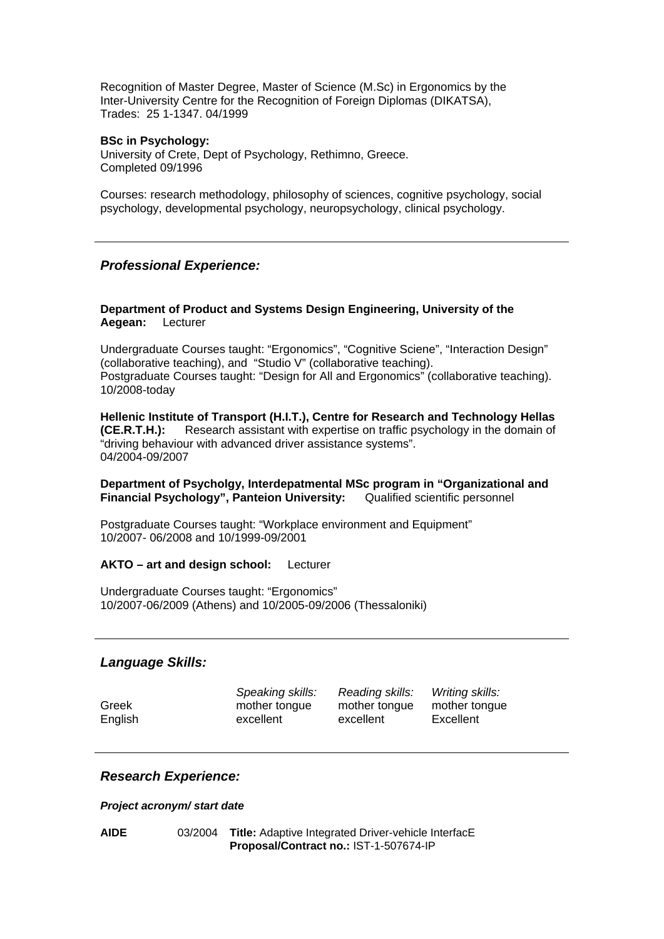Recognition of Master Degree, Master of Science (M.Sc) in Ergonomics by the Inter-University Centre for the Recognition of Foreign Diplomas (DIKATSA), Trades: 25 1-1347. 04/1999

#### **BSc in Psychology:**

University of Crete, Dept of Psychology, Rethimno, Greece. Completed 09/1996

Courses: research methodology, philosophy of sciences, cognitive psychology, social psychology, developmental psychology, neuropsychology, clinical psychology.

## *Professional Experience:*

## **Department of Product and Systems Design Engineering, University of the Aegean:** Lecturer

Undergraduate Courses taught: "Ergonomics", "Cognitive Sciene", "Interaction Design" (collaborative teaching), and "Studio V" (collaborative teaching). Postgraduate Courses taught: "Design for All and Ergonomics" (collaborative teaching). 10/2008-today

**Hellenic Institute of Transport (H.I.T.), Centre for Research and Technology Hellas (CE.R.T.H.):** Research assistant with expertise on traffic psychology in the domain of "driving behaviour with advanced driver assistance systems". 04/2004-09/2007

**Department of Psycholgy, Interdepatmental MSc program in "Organizational and Financial Psychology", Panteion University:** Qualified scientific personnel

Postgraduate Courses taught: "Workplace environment and Equipment" 10/2007- 06/2008 and 10/1999-09/2001

#### **AKTO – art and design school:** Lecturer

Undergraduate Courses taught: "Ergonomics" 10/2007-06/2009 (Athens) and 10/2005-09/2006 (Thessaloniki)

## *Language Skills:*

*Speaking skills: Reading skills: Writing skills:*  Greek mother tongue mother tongue mother tongue English excellent excellent Excellent

## *Research Experience:*

#### *Project acronym/ start date*

**AIDE** 03/2004 **Title:** Adaptive Integrated Driver-vehicle InterfacE **Proposal/Contract no.:** IST-1-507674-IP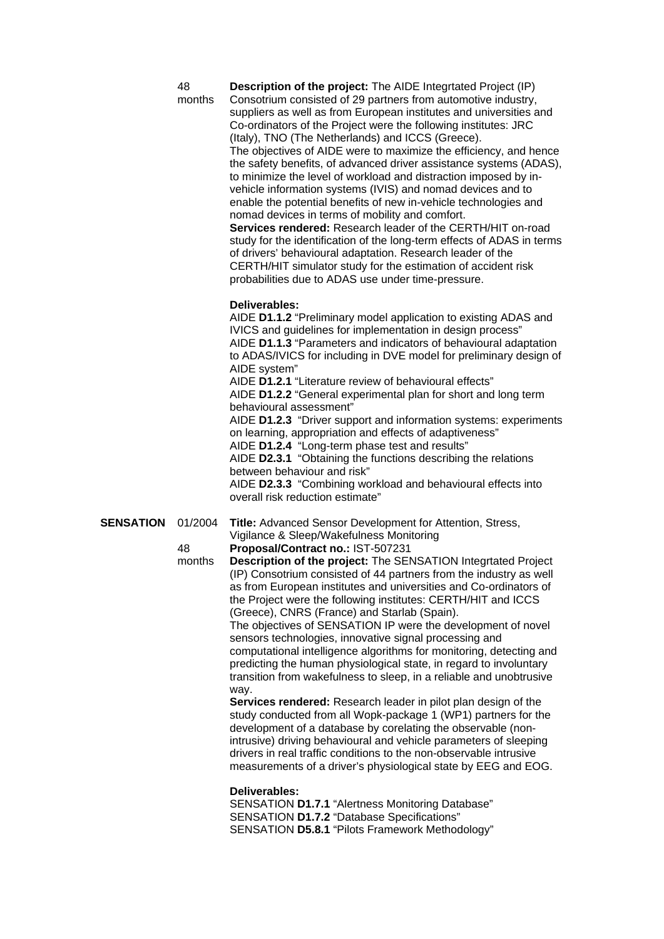| ٠<br>۰.<br>I<br>×<br>۰. |
|-------------------------|
|-------------------------|

months

**Description of the project:** The AIDE Integrtated Project (IP) Consotrium consisted of 29 partners from automotive industry, suppliers as well as from European institutes and universities and Co-ordinators of the Project were the following institutes: JRC (Italy), TNO (The Netherlands) and ICCS (Greece). The objectives of AIDE were to maximize the efficiency, and hence the safety benefits, of advanced driver assistance systems (ADAS), to minimize the level of workload and distraction imposed by invehicle information systems (IVIS) and nomad devices and to enable the potential benefits of new in-vehicle technologies and nomad devices in terms of mobility and comfort. **Services rendered:** Research leader of the CERTH/HIT on-road study for the identification of the long-term effects of ADAS in terms of drivers' behavioural adaptation. Research leader of the CERTH/HIT simulator study for the estimation of accident risk probabilities due to ADAS use under time-pressure.

#### **Deliverables:**

AIDE **D1.1.2** "Preliminary model application to existing ADAS and IVICS and guidelines for implementation in design process" AIDE **D1.1.3** "Parameters and indicators of behavioural adaptation to ADAS/IVICS for including in DVE model for preliminary design of AIDE system"

AIDE **D1.2.1** "Literature review of behavioural effects" AIDE **D1.2.2** "General experimental plan for short and long term behavioural assessment"

AIDE **D1.2.3** "Driver support and information systems: experiments on learning, appropriation and effects of adaptiveness" AIDE **D1.2.4** "Long-term phase test and results"

AIDE **D2.3.1** "Obtaining the functions describing the relations between behaviour and risk"

AIDE **D2.3.3** "Combining workload and behavioural effects into overall risk reduction estimate"

**SENSATION** 01/2004 **Title:** Advanced Sensor Development for Attention, Stress, Vigilance & Sleep/Wakefulness Monitoring

48 months

**Proposal/Contract no.:** IST-507231 **Description of the project:** The SENSATION Integrtated Project (IP) Consotrium consisted of 44 partners from the industry as well as from European institutes and universities and Co-ordinators of the Project were the following institutes: CERTH/HIT and ICCS (Greece), CNRS (France) and Starlab (Spain).

The objectives of SENSATION IP were the development of novel sensors technologies, innovative signal processing and computational intelligence algorithms for monitoring, detecting and predicting the human physiological state, in regard to involuntary transition from wakefulness to sleep, in a reliable and unobtrusive way.

**Services rendered:** Research leader in pilot plan design of the study conducted from all Wopk-package 1 (WP1) partners for the development of a database by corelating the observable (nonintrusive) driving behavioural and vehicle parameters of sleeping drivers in real traffic conditions to the non-observable intrusive measurements of a driver's physiological state by EEG and EOG.

## **Deliverables:**

SENSATION **D1.7.1** "Alertness Monitoring Database" SENSATION **D1.7.2** "Database Specifications" SENSATION **D5.8.1** "Pilots Framework Methodology"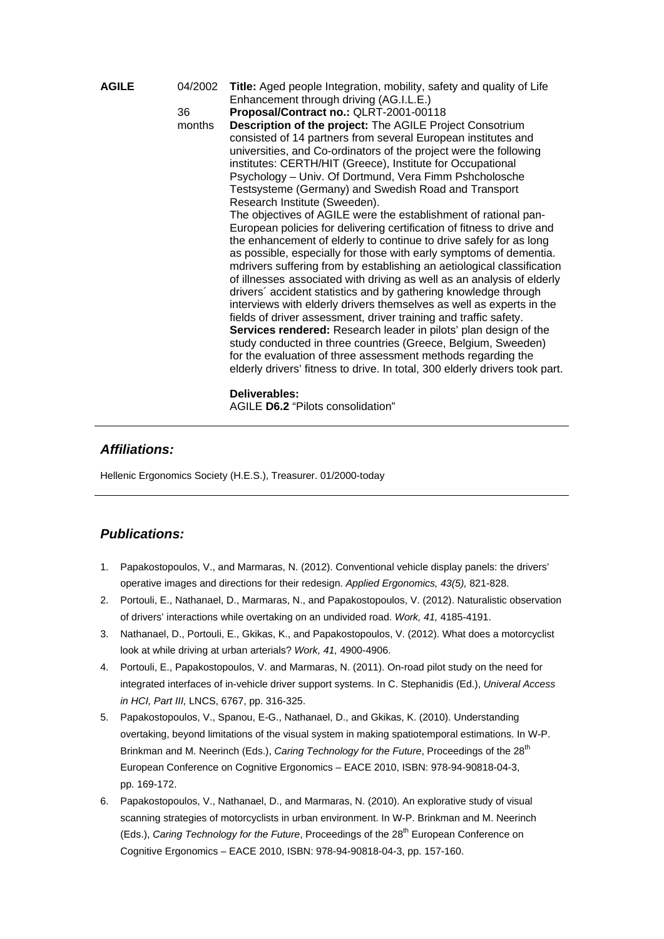| <b>AGILE</b> | 04/2002<br>36<br>months | Title: Aged people Integration, mobility, safety and quality of Life<br>Enhancement through driving (AG.I.L.E.)<br>Proposal/Contract no.: QLRT-2001-00118<br>Description of the project: The AGILE Project Consotrium<br>consisted of 14 partners from several European institutes and<br>universities, and Co-ordinators of the project were the following<br>institutes: CERTH/HIT (Greece), Institute for Occupational<br>Psychology – Univ. Of Dortmund, Vera Fimm Pshcholosche<br>Testsysteme (Germany) and Swedish Road and Transport<br>Research Institute (Sweeden).<br>The objectives of AGILE were the establishment of rational pan-<br>European policies for delivering certification of fitness to drive and<br>the enhancement of elderly to continue to drive safely for as long<br>as possible, especially for those with early symptoms of dementia.<br>mdrivers suffering from by establishing an aetiological classification<br>of illnesses associated with driving as well as an analysis of elderly |
|--------------|-------------------------|---------------------------------------------------------------------------------------------------------------------------------------------------------------------------------------------------------------------------------------------------------------------------------------------------------------------------------------------------------------------------------------------------------------------------------------------------------------------------------------------------------------------------------------------------------------------------------------------------------------------------------------------------------------------------------------------------------------------------------------------------------------------------------------------------------------------------------------------------------------------------------------------------------------------------------------------------------------------------------------------------------------------------|
|              |                         | drivers' accident statistics and by gathering knowledge through<br>interviews with elderly drivers themselves as well as experts in the<br>fields of driver assessment, driver training and traffic safety.<br>Services rendered: Research leader in pilots' plan design of the<br>study conducted in three countries (Greece, Belgium, Sweeden)<br>for the evaluation of three assessment methods regarding the<br>elderly drivers' fitness to drive. In total, 300 elderly drivers took part.                                                                                                                                                                                                                                                                                                                                                                                                                                                                                                                           |
|              |                         | Deliverables:                                                                                                                                                                                                                                                                                                                                                                                                                                                                                                                                                                                                                                                                                                                                                                                                                                                                                                                                                                                                             |

# *Affiliations:*

Hellenic Ergonomics Society (H.E.S.), Treasurer. 01/2000-today

# *Publications:*

1. Papakostopoulos, V., and Marmaras, N. (2012). Conventional vehicle display panels: the drivers' operative images and directions for their redesign. *Applied Ergonomics, 43(5),* 821-828.

AGILE **D6.2** "Pilots consolidation"

- 2. Portouli, E., Nathanael, D., Marmaras, N., and Papakostopoulos, V. (2012). Naturalistic observation of drivers' interactions while overtaking on an undivided road. *Work, 41,* 4185-4191.
- 3. Nathanael, D., Portouli, E., Gkikas, K., and Papakostopoulos, V. (2012). What does a motorcyclist look at while driving at urban arterials? *Work, 41,* 4900-4906.
- 4. Portouli, E., Papakostopoulos, V. and Marmaras, N. (2011). On-road pilot study on the need for integrated interfaces of in-vehicle driver support systems. In C. Stephanidis (Ed.), *Univeral Access in HCI, Part III,* LNCS, 6767, pp. 316-325.
- 5. Papakostopoulos, V., Spanou, E-G., Nathanael, D., and Gkikas, K. (2010). Understanding overtaking, beyond limitations of the visual system in making spatiotemporal estimations. In W-P. Brinkman and M. Neerinch (Eds.), *Caring Technology for the Future*, Proceedings of the 28<sup>th</sup> European Conference on Cognitive Ergonomics – EACE 2010, ISBN: 978-94-90818-04-3, pp. 169-172.
- 6. Papakostopoulos, V., Nathanael, D., and Marmaras, N. (2010). An explorative study of visual scanning strategies of motorcyclists in urban environment. In W-P. Brinkman and M. Neerinch (Eds.), *Caring Technology for the Future*, Proceedings of the 28<sup>th</sup> European Conference on Cognitive Ergonomics – EACE 2010, ISBN: 978-94-90818-04-3, pp. 157-160.